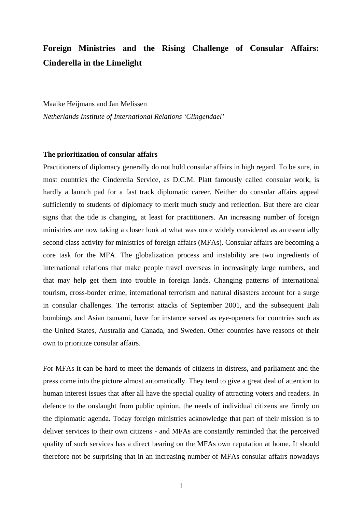# **Foreign Ministries and the Rising Challenge of Consular Affairs: Cinderella in the Limelight**

Maaike Heijmans and Jan Melissen *Netherlands Institute of International Relations 'Clingendael'* 

## **The prioritization of consular affairs**

Practitioners of diplomacy generally do not hold consular affairs in high regard. To be sure, in most countries the Cinderella Service, as D.C.M. Platt famously called consular work, is hardly a launch pad for a fast track diplomatic career. Neither do consular affairs appeal sufficiently to students of diplomacy to merit much study and reflection. But there are clear signs that the tide is changing, at least for practitioners. An increasing number of foreign ministries are now taking a closer look at what was once widely considered as an essentially second class activity for ministries of foreign affairs (MFAs). Consular affairs are becoming a core task for the MFA. The globalization process and instability are two ingredients of international relations that make people travel overseas in increasingly large numbers, and that may help get them into trouble in foreign lands. Changing patterns of international tourism, cross-border crime, international terrorism and natural disasters account for a surge in consular challenges. The terrorist attacks of September 2001, and the subsequent Bali bombings and Asian tsunami, have for instance served as eye-openers for countries such as the United States, Australia and Canada, and Sweden. Other countries have reasons of their own to prioritize consular affairs.

For MFAs it can be hard to meet the demands of citizens in distress, and parliament and the press come into the picture almost automatically. They tend to give a great deal of attention to human interest issues that after all have the special quality of attracting voters and readers. In defence to the onslaught from public opinion, the needs of individual citizens are firmly on the diplomatic agenda. Today foreign ministries acknowledge that part of their mission is to deliver services to their own citizens - and MFAs are constantly reminded that the perceived quality of such services has a direct bearing on the MFAs own reputation at home. It should therefore not be surprising that in an increasing number of MFAs consular affairs nowadays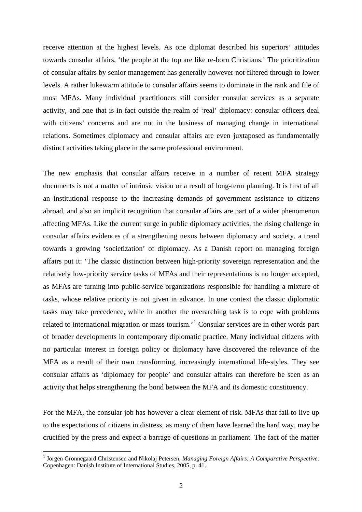receive attention at the highest levels. As one diplomat described his superiors' attitudes towards consular affairs, 'the people at the top are like re-born Christians.' The prioritization of consular affairs by senior management has generally however not filtered through to lower levels. A rather lukewarm attitude to consular affairs seems to dominate in the rank and file of most MFAs. Many individual practitioners still consider consular services as a separate activity, and one that is in fact outside the realm of 'real' diplomacy: consular officers deal with citizens' concerns and are not in the business of managing change in international relations. Sometimes diplomacy and consular affairs are even juxtaposed as fundamentally distinct activities taking place in the same professional environment.

The new emphasis that consular affairs receive in a number of recent MFA strategy documents is not a matter of intrinsic vision or a result of long-term planning. It is first of all an institutional response to the increasing demands of government assistance to citizens abroad, and also an implicit recognition that consular affairs are part of a wider phenomenon affecting MFAs. Like the current surge in public diplomacy activities, the rising challenge in consular affairs evidences of a strengthening nexus between diplomacy and society, a trend towards a growing 'societization' of diplomacy. As a Danish report on managing foreign affairs put it: 'The classic distinction between high-priority sovereign representation and the relatively low-priority service tasks of MFAs and their representations is no longer accepted, as MFAs are turning into public-service organizations responsible for handling a mixture of tasks, whose relative priority is not given in advance. In one context the classic diplomatic tasks may take precedence, while in another the overarching task is to cope with problems related to international migration or mass tourism.<sup>[1](#page-1-0)</sup> Consular services are in other words part of broader developments in contemporary diplomatic practice. Many individual citizens with no particular interest in foreign policy or diplomacy have discovered the relevance of the MFA as a result of their own transforming, increasingly international life-styles. They see consular affairs as 'diplomacy for people' and consular affairs can therefore be seen as an activity that helps strengthening the bond between the MFA and its domestic constituency.

For the MFA, the consular job has however a clear element of risk. MFAs that fail to live up to the expectations of citizens in distress, as many of them have learned the hard way, may be crucified by the press and expect a barrage of questions in parliament. The fact of the matter

<span id="page-1-0"></span><sup>&</sup>lt;sup>1</sup> Jorgen Gronnegaard Christensen and Nikolaj Petersen, *Managing Foreign Affairs: A Comparative Perspective*. Copenhagen: Danish Institute of International Studies, 2005, p. 41.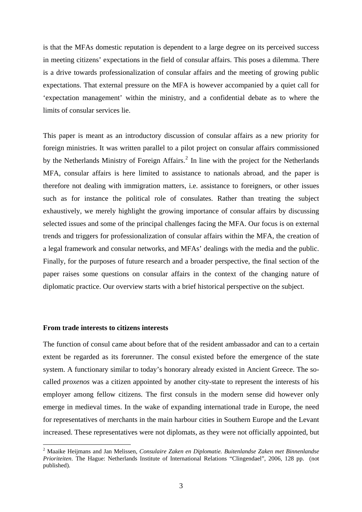is that the MFAs domestic reputation is dependent to a large degree on its perceived success in meeting citizens' expectations in the field of consular affairs. This poses a dilemma. There is a drive towards professionalization of consular affairs and the meeting of growing public expectations. That external pressure on the MFA is however accompanied by a quiet call for 'expectation management' within the ministry, and a confidential debate as to where the limits of consular services lie.

This paper is meant as an introductory discussion of consular affairs as a new priority for foreign ministries. It was written parallel to a pilot project on consular affairs commissioned by the Netherlands Ministry of Foreign Affairs.<sup>[2](#page-2-0)</sup> In line with the project for the Netherlands MFA, consular affairs is here limited to assistance to nationals abroad, and the paper is therefore not dealing with immigration matters, i.e. assistance to foreigners, or other issues such as for instance the political role of consulates. Rather than treating the subject exhaustively, we merely highlight the growing importance of consular affairs by discussing selected issues and some of the principal challenges facing the MFA. Our focus is on external trends and triggers for professionalization of consular affairs within the MFA, the creation of a legal framework and consular networks, and MFAs' dealings with the media and the public. Finally, for the purposes of future research and a broader perspective, the final section of the paper raises some questions on consular affairs in the context of the changing nature of diplomatic practice. Our overview starts with a brief historical perspective on the subject.

#### **From trade interests to citizens interests**

1

The function of consul came about before that of the resident ambassador and can to a certain extent be regarded as its forerunner. The consul existed before the emergence of the state system. A functionary similar to today's honorary already existed in Ancient Greece. The socalled *proxenos* was a citizen appointed by another city-state to represent the interests of his employer among fellow citizens. The first consuls in the modern sense did however only emerge in medieval times. In the wake of expanding international trade in Europe, the need for representatives of merchants in the main harbour cities in Southern Europe and the Levant increased. These representatives were not diplomats, as they were not officially appointed, but

<span id="page-2-0"></span><sup>2</sup> Maaike Heijmans and Jan Melissen, *Consulaire Zaken en Diplomatie. Buitenlandse Zaken met Binnenlandse Prioriteiten*. The Hague: Netherlands Institute of International Relations "Clingendael", 2006, 128 pp. (not published).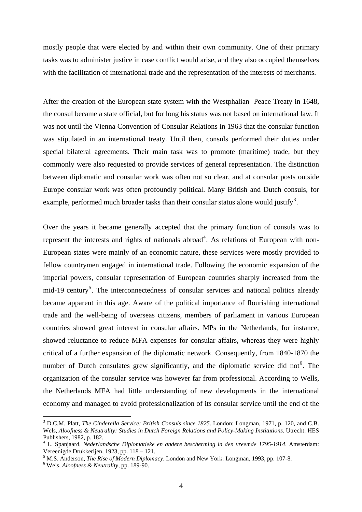mostly people that were elected by and within their own community. One of their primary tasks was to administer justice in case conflict would arise, and they also occupied themselves with the facilitation of international trade and the representation of the interests of merchants.

After the creation of the European state system with the Westphalian Peace Treaty in 1648, the consul became a state official, but for long his status was not based on international law. It was not until the Vienna Convention of Consular Relations in 1963 that the consular function was stipulated in an international treaty. Until then, consuls performed their duties under special bilateral agreements. Their main task was to promote (maritime) trade, but they commonly were also requested to provide services of general representation. The distinction between diplomatic and consular work was often not so clear, and at consular posts outside Europe consular work was often profoundly political. Many British and Dutch consuls, for example, performed much broader tasks than their consular status alone would justify<sup>[3](#page-3-0)</sup>.

Over the years it became generally accepted that the primary function of consuls was to represent the interests and rights of nationals abroad<sup>[4](#page-3-1)</sup>. As relations of European with non-European states were mainly of an economic nature, these services were mostly provided to fellow countrymen engaged in international trade. Following the economic expansion of the imperial powers, consular representation of European countries sharply increased from the mid-19 century<sup>[5](#page-3-2)</sup>. The interconnectedness of consular services and national politics already became apparent in this age. Aware of the political importance of flourishing international trade and the well-being of overseas citizens, members of parliament in various European countries showed great interest in consular affairs. MPs in the Netherlands, for instance, showed reluctance to reduce MFA expenses for consular affairs, whereas they were highly critical of a further expansion of the diplomatic network. Consequently, from 1840-1870 the number of Dutch consulates grew significantly, and the diplomatic service did not  $6$ . The organization of the consular service was however far from professional. According to Wells, the Netherlands MFA had little understanding of new developments in the international economy and managed to avoid professionalization of its consular service until the end of the

<span id="page-3-0"></span><sup>3</sup> D.C.M. Platt, *The Cinderella Service: British Consuls since 1825*. London: Longman, 1971, p. 120, and C.B. Wels, *Aloofness & Neutrality: Studies in Dutch Foreign Relations and Policy-Making Institutions*. Utrecht: HES Publishers, 1982, p. 182.

<span id="page-3-1"></span><sup>4</sup> L. Spanjaard, *Nederlandsche Diplomatieke en andere bescherming in den vreemde 1795-1914*. Amsterdam: Vereenigde Drukkerijen, 1923, pp. 118 – 121.

<span id="page-3-2"></span><sup>&</sup>lt;sup>5</sup> M.S. Anderson, *The Rise of Modern Diplomacy*. London and New York: Longman, 1993, pp. 107-8.

<span id="page-3-3"></span>Wels, *Aloofness & Neutrality*, pp. 189-90.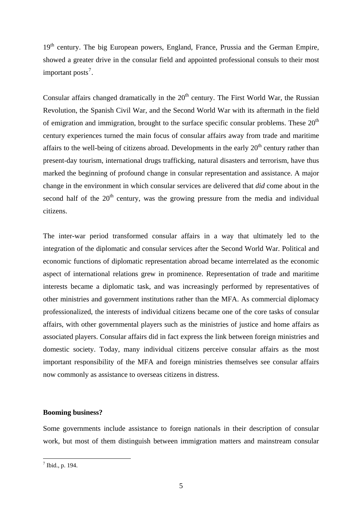19<sup>th</sup> century. The big European powers, England, France, Prussia and the German Empire, showed a greater drive in the consular field and appointed professional consuls to their most important posts<sup>[7](#page-4-0)</sup>.

Consular affairs changed dramatically in the  $20<sup>th</sup>$  century. The First World War, the Russian Revolution, the Spanish Civil War, and the Second World War with its aftermath in the field of emigration and immigration, brought to the surface specific consular problems. These  $20<sup>th</sup>$ century experiences turned the main focus of consular affairs away from trade and maritime affairs to the well-being of citizens abroad. Developments in the early  $20<sup>th</sup>$  century rather than present-day tourism, international drugs trafficking, natural disasters and terrorism, have thus marked the beginning of profound change in consular representation and assistance. A major change in the environment in which consular services are delivered that *did* come about in the second half of the  $20<sup>th</sup>$  century, was the growing pressure from the media and individual citizens.

The inter-war period transformed consular affairs in a way that ultimately led to the integration of the diplomatic and consular services after the Second World War. Political and economic functions of diplomatic representation abroad became interrelated as the economic aspect of international relations grew in prominence. Representation of trade and maritime interests became a diplomatic task, and was increasingly performed by representatives of other ministries and government institutions rather than the MFA. As commercial diplomacy professionalized, the interests of individual citizens became one of the core tasks of consular affairs, with other governmental players such as the ministries of justice and home affairs as associated players. Consular affairs did in fact express the link between foreign ministries and domestic society. Today, many individual citizens perceive consular affairs as the most important responsibility of the MFA and foreign ministries themselves see consular affairs now commonly as assistance to overseas citizens in distress.

## **Booming business?**

Some governments include assistance to foreign nationals in their description of consular work, but most of them distinguish between immigration matters and mainstream consular

<span id="page-4-0"></span> $<sup>7</sup>$  Ibid., p. 194.</sup>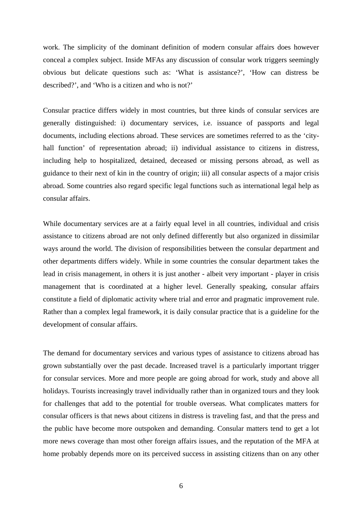work. The simplicity of the dominant definition of modern consular affairs does however conceal a complex subject. Inside MFAs any discussion of consular work triggers seemingly obvious but delicate questions such as: 'What is assistance?', 'How can distress be described?', and 'Who is a citizen and who is not?'

Consular practice differs widely in most countries, but three kinds of consular services are generally distinguished: i) documentary services, i.e. issuance of passports and legal documents, including elections abroad. These services are sometimes referred to as the 'cityhall function' of representation abroad; ii) individual assistance to citizens in distress, including help to hospitalized, detained, deceased or missing persons abroad, as well as guidance to their next of kin in the country of origin; iii) all consular aspects of a major crisis abroad. Some countries also regard specific legal functions such as international legal help as consular affairs.

While documentary services are at a fairly equal level in all countries, individual and crisis assistance to citizens abroad are not only defined differently but also organized in dissimilar ways around the world. The division of responsibilities between the consular department and other departments differs widely. While in some countries the consular department takes the lead in crisis management, in others it is just another - albeit very important - player in crisis management that is coordinated at a higher level. Generally speaking, consular affairs constitute a field of diplomatic activity where trial and error and pragmatic improvement rule. Rather than a complex legal framework, it is daily consular practice that is a guideline for the development of consular affairs.

The demand for documentary services and various types of assistance to citizens abroad has grown substantially over the past decade. Increased travel is a particularly important trigger for consular services. More and more people are going abroad for work, study and above all holidays. Tourists increasingly travel individually rather than in organized tours and they look for challenges that add to the potential for trouble overseas. What complicates matters for consular officers is that news about citizens in distress is traveling fast, and that the press and the public have become more outspoken and demanding. Consular matters tend to get a lot more news coverage than most other foreign affairs issues, and the reputation of the MFA at home probably depends more on its perceived success in assisting citizens than on any other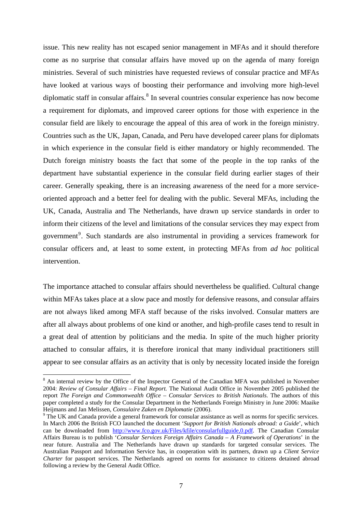issue. This new reality has not escaped senior management in MFAs and it should therefore come as no surprise that consular affairs have moved up on the agenda of many foreign ministries. Several of such ministries have requested reviews of consular practice and MFAs have looked at various ways of boosting their performance and involving more high-level diplomatic staff in consular affairs.<sup>[8](#page-6-0)</sup> In several countries consular experience has now become a requirement for diplomats, and improved career options for those with experience in the consular field are likely to encourage the appeal of this area of work in the foreign ministry. Countries such as the UK, Japan, Canada, and Peru have developed career plans for diplomats in which experience in the consular field is either mandatory or highly recommended. The Dutch foreign ministry boasts the fact that some of the people in the top ranks of the department have substantial experience in the consular field during earlier stages of their career. Generally speaking, there is an increasing awareness of the need for a more serviceoriented approach and a better feel for dealing with the public. Several MFAs, including the UK, Canada, Australia and The Netherlands, have drawn up service standards in order to inform their citizens of the level and limitations of the consular services they may expect from government<sup>[9](#page-6-1)</sup>. Such standards are also instrumental in providing a services framework for consular officers and, at least to some extent, in protecting MFAs from *ad hoc* political intervention.

The importance attached to consular affairs should nevertheless be qualified. Cultural change within MFAs takes place at a slow pace and mostly for defensive reasons, and consular affairs are not always liked among MFA staff because of the risks involved. Consular matters are after all always about problems of one kind or another, and high-profile cases tend to result in a great deal of attention by politicians and the media. In spite of the much higher priority attached to consular affairs, it is therefore ironical that many individual practitioners still appear to see consular affairs as an activity that is only by necessity located inside the foreign

<span id="page-6-0"></span><sup>&</sup>lt;sup>8</sup> An internal review by the Office of the Inspector General of the Canadian MFA was published in November 2004: *Review of Consular Affairs – Final Report.* The National Audit Office in November 2005 published the report *The Foreign and Commonwealth Office – Consular Services to British Nationals*. The authors of this paper completed a study for the Consular Department in the Netherlands Foreign Ministry in June 2006: Maaike Heijmans and Jan Melissen, *Consulaire Zaken en Diplomatie* (2006). 9

<span id="page-6-1"></span><sup>&</sup>lt;sup>9</sup> The UK and Canada provide a general framework for consular assistance as well as norms for specific services. In March 2006 the British FCO launched the document '*Support for British Nationals abroad: a Guide*', which can be downloaded from [http://www.fco.gov.uk/Files/kfile/consularfullguide,0.pdf.](http://www.fco.gov.uk/Files/kfile/consularfullguide,0.pdf) The Canadian Consular Affairs Bureau is to publish '*Consular Services Foreign Affairs Canada – A Framework of Operations*' in the near future. Australia and The Netherlands have drawn up standards for targeted consular services. The Australian Passport and Information Service has, in cooperation with its partners, drawn up a *Client Service Charter* for passport services. The Netherlands agreed on norms for assistance to citizens detained abroad following a review by the General Audit Office.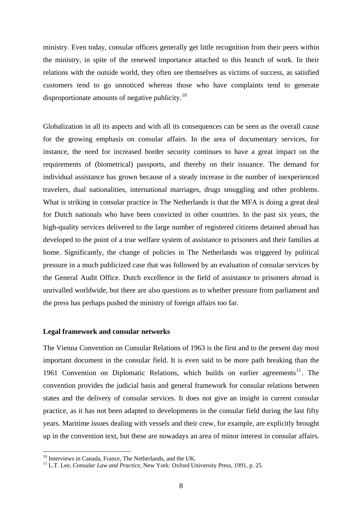ministry. Even today, consular officers generally get little recognition from their peers within the ministry, in spite of the renewed importance attached to this branch of work. In their relations with the outside world, they often see themselves as victims of success, as satisfied customers tend to go unnoticed whereas those who have complaints tend to generate disproportionate amounts of negative publicity.<sup>[10](#page-7-0)</sup>

Globalization in all its aspects and with all its consequences can be seen as the overall cause for the growing emphasis on consular affairs. In the area of documentary services, for instance, the need for increased border security continues to have a great impact on the requirements of (biometrical) passports, and thereby on their issuance. The demand for individual assistance has grown because of a steady increase in the number of inexperienced travelers, dual nationalities, international marriages, drugs smuggling and other problems. What is striking in consular practice in The Netherlands is that the MFA is doing a great deal for Dutch nationals who have been convicted in other countries. In the past six years, the high-quality services delivered to the large number of registered citizens detained abroad has developed to the point of a true welfare system of assistance to prisoners and their families at home. Significantly, the change of policies in The Netherlands was triggered by political pressure in a much publicized case that was followed by an evaluation of consular services by the General Audit Office. Dutch excellence in the field of assistance to prisoners abroad is unrivalled worldwide, but there are also questions as to whether pressure from parliament and the press has perhaps pushed the ministry of foreign affairs too far.

## **Legal framework and consular networks**

The Vienna Convention on Consular Relations of 1963 is the first and to the present day most important document in the consular field. It is even said to be more path breaking than the 1961 Convention on Diplomatic Relations, which builds on earlier agreements<sup>[11](#page-7-1)</sup>. The convention provides the judicial basis and general framework for consular relations between states and the delivery of consular services. It does not give an insight in current consular practice, as it has not been adapted to developments in the consular field during the last fifty years. Maritime issues dealing with vessels and their crew, for example, are explicitly brought up in the convention text, but these are nowadays an area of minor interest in consular affairs.

<sup>&</sup>lt;sup>10</sup> Interviews in Canada, France, The Netherlands, and the UK.

<span id="page-7-1"></span><span id="page-7-0"></span><sup>&</sup>lt;sup>11</sup> L.T. Lee, *Consular Law and Practice*, New York: Oxford University Press, 1991, p. 25.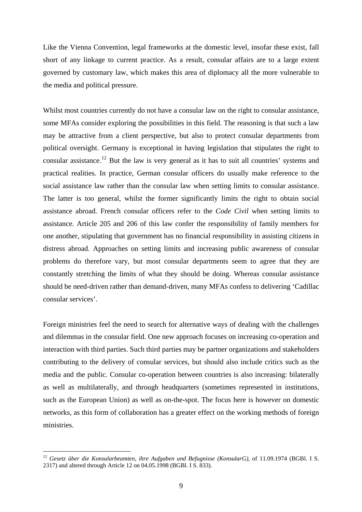Like the Vienna Convention, legal frameworks at the domestic level, insofar these exist, fall short of any linkage to current practice. As a result, consular affairs are to a large extent governed by customary law, which makes this area of diplomacy all the more vulnerable to the media and political pressure.

Whilst most countries currently do not have a consular law on the right to consular assistance, some MFAs consider exploring the possibilities in this field. The reasoning is that such a law may be attractive from a client perspective, but also to protect consular departments from political oversight. Germany is exceptional in having legislation that stipulates the right to consular assistance.[12](#page-8-0) But the law is very general as it has to suit all countries' systems and practical realities. In practice, German consular officers do usually make reference to the social assistance law rather than the consular law when setting limits to consular assistance. The latter is too general, whilst the former significantly limits the right to obtain social assistance abroad. French consular officers refer to the *Code Civil* when setting limits to assistance. Article 205 and 206 of this law confer the responsibility of family members for one another, stipulating that government has no financial responsibility in assisting citizens in distress abroad. Approaches on setting limits and increasing public awareness of consular problems do therefore vary, but most consular departments seem to agree that they are constantly stretching the limits of what they should be doing. Whereas consular assistance should be need-driven rather than demand-driven, many MFAs confess to delivering 'Cadillac consular services'.

Foreign ministries feel the need to search for alternative ways of dealing with the challenges and dilemmas in the consular field. One new approach focuses on increasing co-operation and interaction with third parties. Such third parties may be partner organizations and stakeholders contributing to the delivery of consular services, but should also include critics such as the media and the public. Consular co-operation between countries is also increasing: bilaterally as well as multilaterally, and through headquarters (sometimes represented in institutions, such as the European Union) as well as on-the-spot. The focus here is however on domestic networks, as this form of collaboration has a greater effect on the working methods of foreign ministries.

<span id="page-8-0"></span><sup>12</sup> *Gesetz über die Konsularbeamten, ihre Aufgaben und Befugnisse (KonsularG)*, of 11.09.1974 (BGBl. I S. 2317) and altered through Article 12 on 04.05.1998 (BGBl. I S. 833).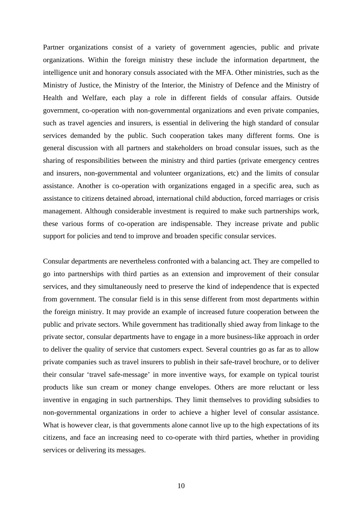Partner organizations consist of a variety of government agencies, public and private organizations. Within the foreign ministry these include the information department, the intelligence unit and honorary consuls associated with the MFA. Other ministries, such as the Ministry of Justice, the Ministry of the Interior, the Ministry of Defence and the Ministry of Health and Welfare, each play a role in different fields of consular affairs. Outside government, co-operation with non-governmental organizations and even private companies, such as travel agencies and insurers, is essential in delivering the high standard of consular services demanded by the public. Such cooperation takes many different forms. One is general discussion with all partners and stakeholders on broad consular issues, such as the sharing of responsibilities between the ministry and third parties (private emergency centres and insurers, non-governmental and volunteer organizations, etc) and the limits of consular assistance. Another is co-operation with organizations engaged in a specific area, such as assistance to citizens detained abroad, international child abduction, forced marriages or crisis management. Although considerable investment is required to make such partnerships work, these various forms of co-operation are indispensable. They increase private and public support for policies and tend to improve and broaden specific consular services.

Consular departments are nevertheless confronted with a balancing act. They are compelled to go into partnerships with third parties as an extension and improvement of their consular services, and they simultaneously need to preserve the kind of independence that is expected from government. The consular field is in this sense different from most departments within the foreign ministry. It may provide an example of increased future cooperation between the public and private sectors. While government has traditionally shied away from linkage to the private sector, consular departments have to engage in a more business-like approach in order to deliver the quality of service that customers expect. Several countries go as far as to allow private companies such as travel insurers to publish in their safe-travel brochure, or to deliver their consular 'travel safe-message' in more inventive ways, for example on typical tourist products like sun cream or money change envelopes. Others are more reluctant or less inventive in engaging in such partnerships. They limit themselves to providing subsidies to non-governmental organizations in order to achieve a higher level of consular assistance. What is however clear, is that governments alone cannot live up to the high expectations of its citizens, and face an increasing need to co-operate with third parties, whether in providing services or delivering its messages.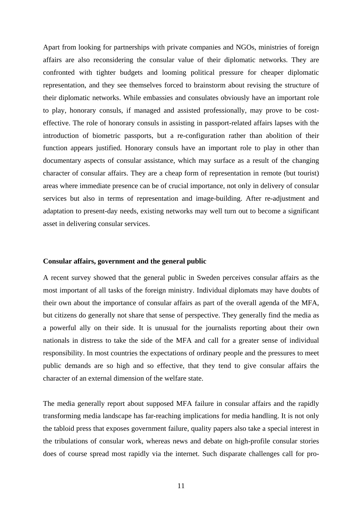Apart from looking for partnerships with private companies and NGOs, ministries of foreign affairs are also reconsidering the consular value of their diplomatic networks. They are confronted with tighter budgets and looming political pressure for cheaper diplomatic representation, and they see themselves forced to brainstorm about revising the structure of their diplomatic networks. While embassies and consulates obviously have an important role to play, honorary consuls, if managed and assisted professionally, may prove to be costeffective. The role of honorary consuls in assisting in passport-related affairs lapses with the introduction of biometric passports, but a re-configuration rather than abolition of their function appears justified. Honorary consuls have an important role to play in other than documentary aspects of consular assistance, which may surface as a result of the changing character of consular affairs. They are a cheap form of representation in remote (but tourist) areas where immediate presence can be of crucial importance, not only in delivery of consular services but also in terms of representation and image-building. After re-adjustment and adaptation to present-day needs, existing networks may well turn out to become a significant asset in delivering consular services.

## **Consular affairs, government and the general public**

A recent survey showed that the general public in Sweden perceives consular affairs as the most important of all tasks of the foreign ministry. Individual diplomats may have doubts of their own about the importance of consular affairs as part of the overall agenda of the MFA, but citizens do generally not share that sense of perspective. They generally find the media as a powerful ally on their side. It is unusual for the journalists reporting about their own nationals in distress to take the side of the MFA and call for a greater sense of individual responsibility. In most countries the expectations of ordinary people and the pressures to meet public demands are so high and so effective, that they tend to give consular affairs the character of an external dimension of the welfare state.

The media generally report about supposed MFA failure in consular affairs and the rapidly transforming media landscape has far-reaching implications for media handling. It is not only the tabloid press that exposes government failure, quality papers also take a special interest in the tribulations of consular work, whereas news and debate on high-profile consular stories does of course spread most rapidly via the internet. Such disparate challenges call for pro-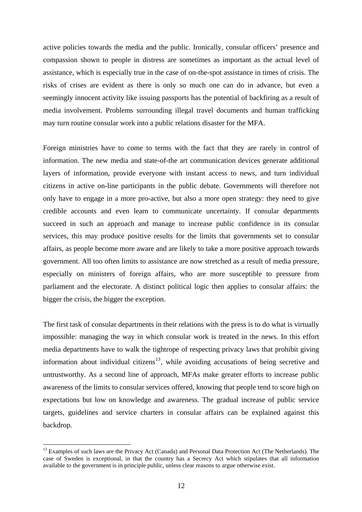active policies towards the media and the public. Ironically, consular officers' presence and compassion shown to people in distress are sometimes as important as the actual level of assistance, which is especially true in the case of on-the-spot assistance in times of crisis. The risks of crises are evident as there is only so much one can do in advance, but even a seemingly innocent activity like issuing passports has the potential of backfiring as a result of media involvement. Problems surrounding illegal travel documents and human trafficking may turn routine consular work into a public relations disaster for the MFA.

Foreign ministries have to come to terms with the fact that they are rarely in control of information. The new media and state-of-the art communication devices generate additional layers of information, provide everyone with instant access to news, and turn individual citizens in active on-line participants in the public debate. Governments will therefore not only have to engage in a more pro-active, but also a more open strategy: they need to give credible accounts and even learn to communicate uncertainty. If consular departments succeed in such an approach and manage to increase public confidence in its consular services, this may produce positive results for the limits that governments set to consular affairs, as people become more aware and are likely to take a more positive approach towards government. All too often limits to assistance are now stretched as a result of media pressure, especially on ministers of foreign affairs, who are more susceptible to pressure from parliament and the electorate. A distinct political logic then applies to consular affairs: the bigger the crisis, the bigger the exception.

The first task of consular departments in their relations with the press is to do what is virtually impossible: managing the way in which consular work is treated in the news. In this effort media departments have to walk the tightrope of respecting privacy laws that prohibit giving information about individual citizens<sup>[13](#page-11-0)</sup>, while avoiding accusations of being secretive and untrustworthy. As a second line of approach, MFAs make greater efforts to increase public awareness of the limits to consular services offered, knowing that people tend to score high on expectations but low on knowledge and awareness. The gradual increase of public service targets, guidelines and service charters in consular affairs can be explained against this backdrop.

<span id="page-11-0"></span><sup>&</sup>lt;sup>13</sup> Examples of such laws are the Privacy Act (Canada) and Personal Data Protection Act (The Netherlands). The case of Sweden is exceptional, in that the country has a Secrecy Act which stipulates that all information available to the government is in principle public, unless clear reasons to argue otherwise exist.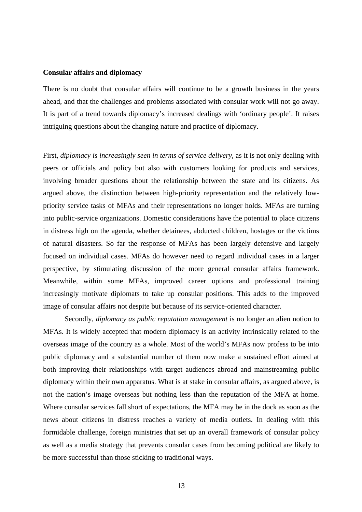## **Consular affairs and diplomacy**

There is no doubt that consular affairs will continue to be a growth business in the years ahead, and that the challenges and problems associated with consular work will not go away. It is part of a trend towards diplomacy's increased dealings with 'ordinary people'. It raises intriguing questions about the changing nature and practice of diplomacy.

First, *diplomacy is increasingly seen in terms of service delivery*, as it is not only dealing with peers or officials and policy but also with customers looking for products and services, involving broader questions about the relationship between the state and its citizens. As argued above, the distinction between high-priority representation and the relatively lowpriority service tasks of MFAs and their representations no longer holds. MFAs are turning into public-service organizations. Domestic considerations have the potential to place citizens in distress high on the agenda, whether detainees, abducted children, hostages or the victims of natural disasters. So far the response of MFAs has been largely defensive and largely focused on individual cases. MFAs do however need to regard individual cases in a larger perspective, by stimulating discussion of the more general consular affairs framework. Meanwhile, within some MFAs, improved career options and professional training increasingly motivate diplomats to take up consular positions. This adds to the improved image of consular affairs not despite but because of its service-oriented character.

Secondly, *diplomacy as public reputation management* is no longer an alien notion to MFAs. It is widely accepted that modern diplomacy is an activity intrinsically related to the overseas image of the country as a whole. Most of the world's MFAs now profess to be into public diplomacy and a substantial number of them now make a sustained effort aimed at both improving their relationships with target audiences abroad and mainstreaming public diplomacy within their own apparatus. What is at stake in consular affairs, as argued above, is not the nation's image overseas but nothing less than the reputation of the MFA at home. Where consular services fall short of expectations, the MFA may be in the dock as soon as the news about citizens in distress reaches a variety of media outlets. In dealing with this formidable challenge, foreign ministries that set up an overall framework of consular policy as well as a media strategy that prevents consular cases from becoming political are likely to be more successful than those sticking to traditional ways.